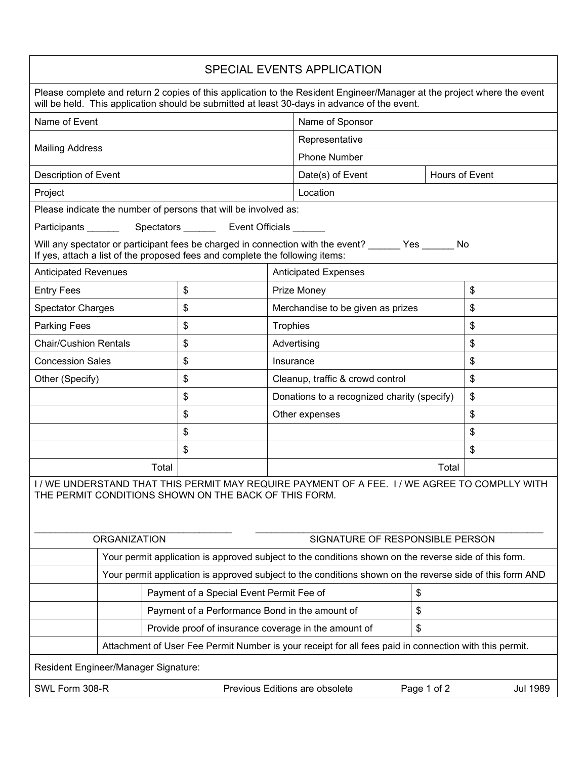| SPECIAL EVENTS APPLICATION                                                                                                                                                                                              |    |             |                                             |       |    |  |
|-------------------------------------------------------------------------------------------------------------------------------------------------------------------------------------------------------------------------|----|-------------|---------------------------------------------|-------|----|--|
| Please complete and return 2 copies of this application to the Resident Engineer/Manager at the project where the event<br>will be held. This application should be submitted at least 30-days in advance of the event. |    |             |                                             |       |    |  |
| Name of Event                                                                                                                                                                                                           |    |             | Name of Sponsor                             |       |    |  |
| <b>Mailing Address</b>                                                                                                                                                                                                  |    |             | Representative                              |       |    |  |
|                                                                                                                                                                                                                         |    |             | <b>Phone Number</b>                         |       |    |  |
| Description of Event                                                                                                                                                                                                    |    |             | Date(s) of Event<br>Hours of Event          |       |    |  |
| Project                                                                                                                                                                                                                 |    |             | Location                                    |       |    |  |
| Please indicate the number of persons that will be involved as:                                                                                                                                                         |    |             |                                             |       |    |  |
| Participants ____________Spectators ____________ Event Officials _______                                                                                                                                                |    |             |                                             |       |    |  |
| Will any spectator or participant fees be charged in connection with the event? ______ Yes ______ No<br>If yes, attach a list of the proposed fees and complete the following items:                                    |    |             |                                             |       |    |  |
| <b>Anticipated Revenues</b>                                                                                                                                                                                             |    |             | <b>Anticipated Expenses</b>                 |       |    |  |
| <b>Entry Fees</b>                                                                                                                                                                                                       | \$ |             | Prize Money                                 |       | \$ |  |
| <b>Spectator Charges</b>                                                                                                                                                                                                | \$ |             | Merchandise to be given as prizes           |       | \$ |  |
| \$<br><b>Parking Fees</b>                                                                                                                                                                                               |    |             | Trophies                                    |       | \$ |  |
| <b>Chair/Cushion Rentals</b>                                                                                                                                                                                            | \$ | Advertising |                                             | \$    |    |  |
| <b>Concession Sales</b>                                                                                                                                                                                                 | \$ |             | Insurance                                   |       | \$ |  |
| Other (Specify)                                                                                                                                                                                                         | \$ |             | Cleanup, traffic & crowd control            |       | \$ |  |
|                                                                                                                                                                                                                         | \$ |             | Donations to a recognized charity (specify) |       | \$ |  |
|                                                                                                                                                                                                                         | \$ |             | Other expenses                              |       | \$ |  |
|                                                                                                                                                                                                                         | \$ |             |                                             |       | \$ |  |
| \$                                                                                                                                                                                                                      |    |             |                                             |       | \$ |  |
| Total                                                                                                                                                                                                                   |    |             |                                             | Total |    |  |
| I / WE UNDERSTAND THAT THIS PERMIT MAY REQUIRE PAYMENT OF A FEE. I / WE AGREE TO COMPLLY WITH<br>THE PERMIT CONDITIONS SHOWN ON THE BACK OF THIS FORM.                                                                  |    |             |                                             |       |    |  |
| <b>ORGANIZATION</b><br>SIGNATURE OF RESPONSIBLE PERSON                                                                                                                                                                  |    |             |                                             |       |    |  |
| Your permit application is approved subject to the conditions shown on the reverse side of this form.                                                                                                                   |    |             |                                             |       |    |  |
| Your permit application is approved subject to the conditions shown on the reverse side of this form AND                                                                                                                |    |             |                                             |       |    |  |
| Payment of a Special Event Permit Fee of                                                                                                                                                                                |    |             | \$                                          |       |    |  |
| Payment of a Performance Bond in the amount of                                                                                                                                                                          |    |             | \$                                          |       |    |  |
| Provide proof of insurance coverage in the amount of                                                                                                                                                                    |    |             |                                             | \$    |    |  |
| Attachment of User Fee Permit Number is your receipt for all fees paid in connection with this permit.                                                                                                                  |    |             |                                             |       |    |  |
| Resident Engineer/Manager Signature:                                                                                                                                                                                    |    |             |                                             |       |    |  |
| SWL Form 308-R<br>Previous Editions are obsolete<br>Page 1 of 2<br><b>Jul 1989</b>                                                                                                                                      |    |             |                                             |       |    |  |